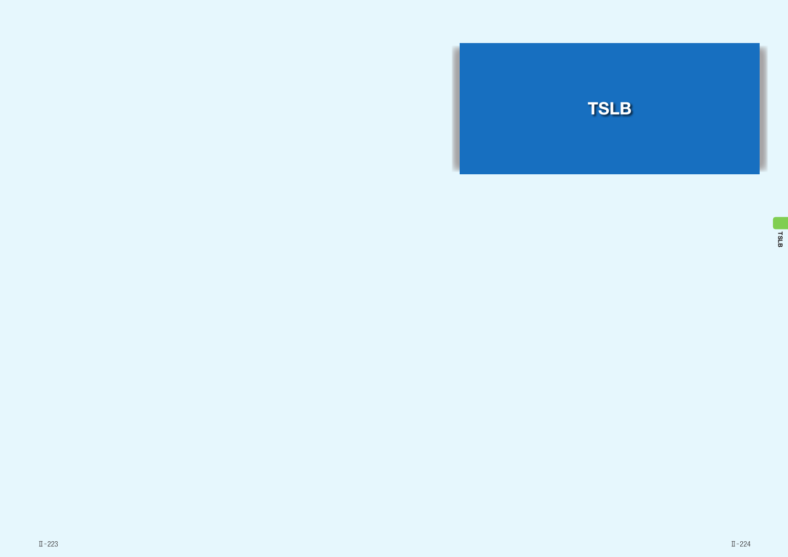

TSLB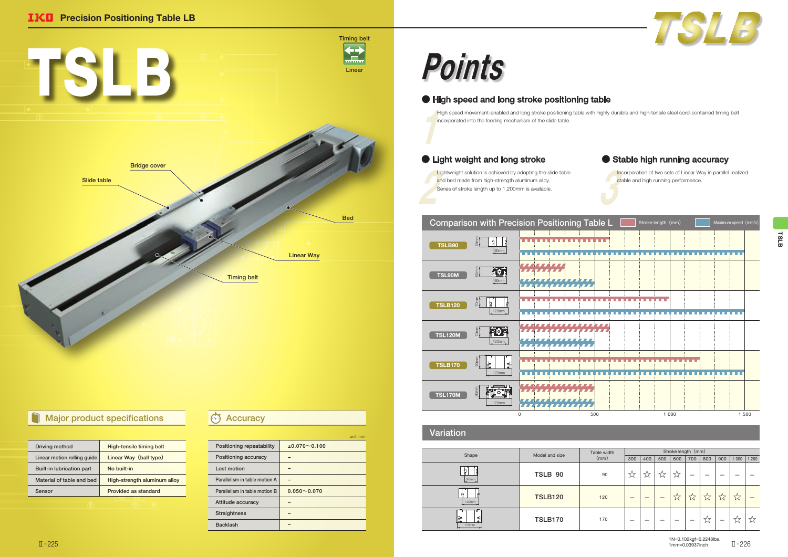| Driving method                   | High-tensile timing belt     |  |
|----------------------------------|------------------------------|--|
| Linear motion rolling quide      | Linear Way (ball type)       |  |
| <b>Built-in lubrication part</b> | No built-in                  |  |
| Material of table and bed        | High-strength aluminum alloy |  |
| Sensor                           | Provided as standard         |  |
|                                  |                              |  |

Incorporation of two sets of Linear Way in parallel realized stable and high running performance.

### Comparison with Precision Positioning Table L 65mm <u>. . . . . . . . . . . . . . .</u>  $\frac{1}{k}$  | | TSLB90 90mm . . . . . . . . . . . . . . . HAHHH **FOT** 65mm TSL90M ,,,,,,,,,,,,,, 90mm <u> 1111111111111</u> **ALCOHOL** 70mm TSLB120 120mm ,,,,,,,,,,,,,,,,,,,,,, **Facis** 70mm TSL120M nan ann an 120mm <u>. . . . . . . . . . . . . . .</u> 90mm TSLB170  $170r$ <u>LE LLE LLE LLE LL</u> **FLORE** 90mm *. . . . . . . . . . .*  $TSL170M$ 170mm , , , , , , , , , , , , , , , ,

## ● High speed and long stroke positioning table

 $\frac{1}{\sqrt{2}}$ High speed movement-enabled and long stroke positioning table with highly durable and high-tensile steel cord-contained timing belt incorporated into the feeding mechanism of the slide table.

## ● Light weight and long stroke

Lig<br>and<br>Ser Lightweight solution is achieved by adopting the slide table and bed made from high-strength aluminum alloy. Series of stroke length up to 1,200mm is available.

|                               | unit: mm            |
|-------------------------------|---------------------|
| Positioning repeatability     | $±0.070 \sim 0.100$ |
| Positioning accuracy          |                     |
| Lost motion                   |                     |
| Parallelism in table motion A |                     |
| Parallelism in table motion B | $0.050 - 0.070$     |
| Attitude accuracy             |                     |
| <b>Straightness</b>           |                     |
| <b>Backlash</b>               |                     |
|                               |                     |



## Major product specifications **Accuracy**

# Points

### Variation

|                                   | Model and size | Table width | Stroke length (mm) |             |     |     |             |     |                |        |         |
|-----------------------------------|----------------|-------------|--------------------|-------------|-----|-----|-------------|-----|----------------|--------|---------|
| Shape                             |                | (mm)        | 300                | 400         | 500 | 600 | 700         | 800 | 900            | 1 000  | 1200    |
| 90mm                              | TSLB 90        | 90          | ☆                  | ↽<br>$\sim$ | W   | ☆   |             |     |                |        |         |
| ¢,<br>120mm                       | <b>TSLB120</b> | 120         |                    |             |     | ☆   | ↽<br>$\sim$ | W   | $7\frac{1}{2}$ | ☆      |         |
| l.<br>$\bullet$ .<br>الم<br>170mm | <b>TSLB170</b> | 170         |                    |             |     | _   |             | ☆   |                | $\sim$ | ーー<br>W |



## ● Stable high running accuracy



1N=0.102kgf=0.2248lbs. 1mm=0.03937inch Ш−225 млн\_о.03937inch Ш−226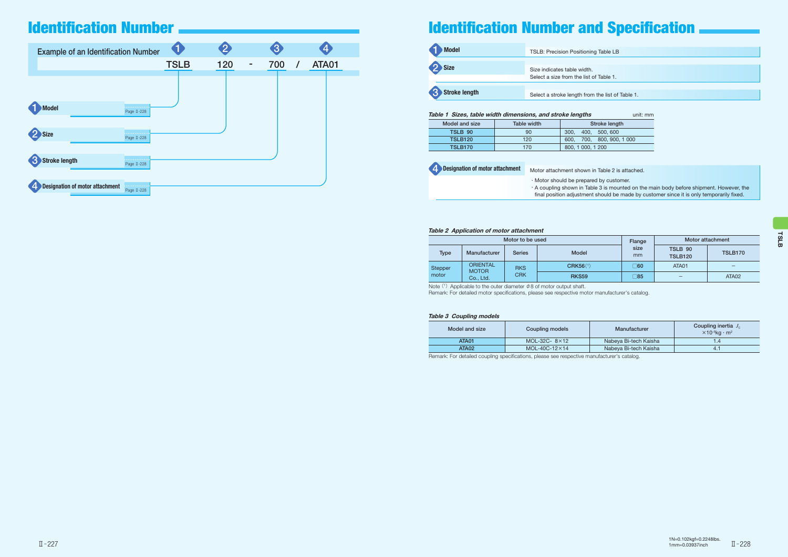Note  $(1)$  Applicable to the outer diameter  $\phi$ 8 of motor output shaft. Remark: For detailed motor specifications, please see respective motor manufacturer's catalog.

| Table 1 Sizes, table width dimensions, and stroke lengths<br>unit: mm |             |                             |  |  |  |
|-----------------------------------------------------------------------|-------------|-----------------------------|--|--|--|
| Model and size                                                        | Table width | Stroke length               |  |  |  |
| TSLB 90                                                               | 90          | 300.<br>400. 500.600        |  |  |  |
| <b>TSLB120</b>                                                        | 120         | 700, 800, 900, 1000<br>600. |  |  |  |
| <b>TSLB170</b>                                                        | 170         | 800, 1 000, 1 200           |  |  |  |

### Table 2 Application of motor attachment

| <b>Example of an Identification Number</b> |                  | 1           |          | $\overline{3}$ | 4     |
|--------------------------------------------|------------------|-------------|----------|----------------|-------|
|                                            |                  | <b>TSLB</b> | 120<br>۰ | 700            | ATA01 |
|                                            |                  |             |          |                |       |
| Model                                      | .<br>Page II-228 |             |          |                |       |
| Size                                       | .<br>Page II-228 |             |          |                |       |
| Stroke length                              | <br>Page II-228  |             |          |                |       |
| <b>Designation of motor attachment</b>     | .<br>Page II-228 |             |          |                |       |

| $\blacksquare$<br><b>Model</b> | <b>TSLB: Precision Positioning</b> |
|--------------------------------|------------------------------------|
| 2 Size                         | Size indicates table width.        |
|                                | Select a size from the list of     |
|                                |                                    |
| Stroke length                  | Select a stroke length from        |

| Motor to be used |                                 |               | Flange          | Motor attachment |                           |                |
|------------------|---------------------------------|---------------|-----------------|------------------|---------------------------|----------------|
| <b>Type</b>      | Manufacturer                    | <b>Series</b> | <b>Model</b>    | size<br>mm       | TSLB 90<br><b>TSLB120</b> | <b>TSLB170</b> |
| Stepper          | <b>ORIENTAL</b><br><b>MOTOR</b> | <b>RKS</b>    | <b>CRK56(1)</b> | ַ60              | ATA01                     | –              |
| motor            | Co., Ltd.                       | <b>CRK</b>    | <b>RKS59</b>    | ⊺85              |                           | ATA02          |

### Table 3 Coupling models

| Model and size | <b>Coupling models</b> | Manufacturer          | Coupling inertia $J_c$<br>$\times$ 10 <sup>-5</sup> kg · m <sup>2</sup> |
|----------------|------------------------|-----------------------|-------------------------------------------------------------------------|
| <b>ATA01</b>   | MOL-32C- $8\times12$   | Nabeya Bi-tech Kaisha |                                                                         |
| ATA02          | $MOL-40C-12\times 14$  | Nabeya Bi-tech Kaisha | 4.                                                                      |

Remark: For detailed coupling specifications, please see respective manufacturer's catalog.

### g Table LB

of Table 1.

the list of Table 1.

in Table 2 is attached.

ed by customer.

ble 3 is mounted on the main body before shipment. However, the t should be made by customer since it is only temporarily fixed.

| <b>4</b> Designation of motor attachment | Motor attachment shown ir                                                             |
|------------------------------------------|---------------------------------------------------------------------------------------|
|                                          | · Motor should be prepared<br>. A coupling shown in Tabl<br>final position adjustment |

## Identification Number



## Identification Number and Specification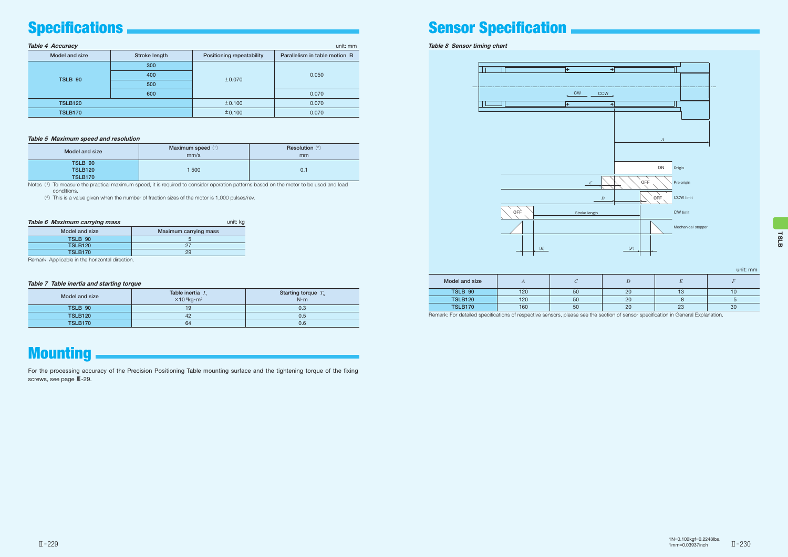### Table 7 Table inertia and starting torque

| Model and size | Table inertia $J_{\tau}$<br>$\times$ 10- <sup>5</sup> kg·m <sup>2</sup> | Starting torque $T_{\rm s}$<br>$N \cdot m$ |
|----------------|-------------------------------------------------------------------------|--------------------------------------------|
| <b>TSLB 90</b> | 19                                                                      | 0.3                                        |
| <b>TSLB120</b> | 42                                                                      | 0.5                                        |
| <b>TSLB170</b> | 64                                                                      | 0.6                                        |

## **Mounting**

| <b>Table 4 Accuracy</b><br>unit: mm |               |                           |                               |  |  |
|-------------------------------------|---------------|---------------------------|-------------------------------|--|--|
| Model and size                      | Stroke length | Positioning repeatability | Parallelism in table motion B |  |  |
|                                     | 300           |                           |                               |  |  |
| TSLB 90                             | 400           | $\pm 0.070$               | 0.050                         |  |  |
|                                     | 500           |                           |                               |  |  |
|                                     | 600           |                           | 0.070                         |  |  |
| <b>TSLB120</b>                      |               | ±0.100                    | 0.070                         |  |  |
| <b>TSLB170</b>                      |               | ±0.100                    | 0.070                         |  |  |

Notes (1) To measure the practical maximum speed, it is required to consider operation patterns based on the motor to be used and load conditions.

### Table 5 Maximum speed and resolution

| Model and size | Maximum speed $(1)$<br>mm/s | <b>Resolution</b> $(2)$<br>mm |
|----------------|-----------------------------|-------------------------------|
| TSLB 90        |                             |                               |
| <b>TSLB120</b> | 500                         | 0.1                           |
| <b>TSLB170</b> |                             |                               |

(<sup>2</sup>)This is a value given when the number of fraction sizes of the motor is 1,000 pulses/rev.



Table 8 Sensor timing chart

## $\overline{\mathcal{F}}$  $\overline{\bullet}$ III

unit: mm

| Model and size | $\overline{1}$ |    |    |                |    |
|----------------|----------------|----|----|----------------|----|
| TSLB 90        | 120            | 50 | 20 |                | טו |
| <b>TSLB120</b> | 120            | 50 | 20 |                |    |
| <b>TSLB170</b> | 160            | 50 | 20 | $\Omega$<br>دے | 30 |

Remark: For detailed specifications of respective sensors, please see the section of sensor specification in General Explanation.



| <b>Table 6 Maximum carrying mass</b> |                       |  |
|--------------------------------------|-----------------------|--|
| Model and size                       | Maximum carrying mass |  |
| TSLB 90                              |                       |  |
| <b>TSLB120</b>                       | 27                    |  |
| <b>TSLB170</b>                       | 29                    |  |

Remark: Applicable in the horizontal direction.

For the processing accuracy of the Precision Positioning Table mounting surface and the tightening torque of the fixing screws, see page Ⅲ-29.

## Specifications **Sensor Sensor Specification**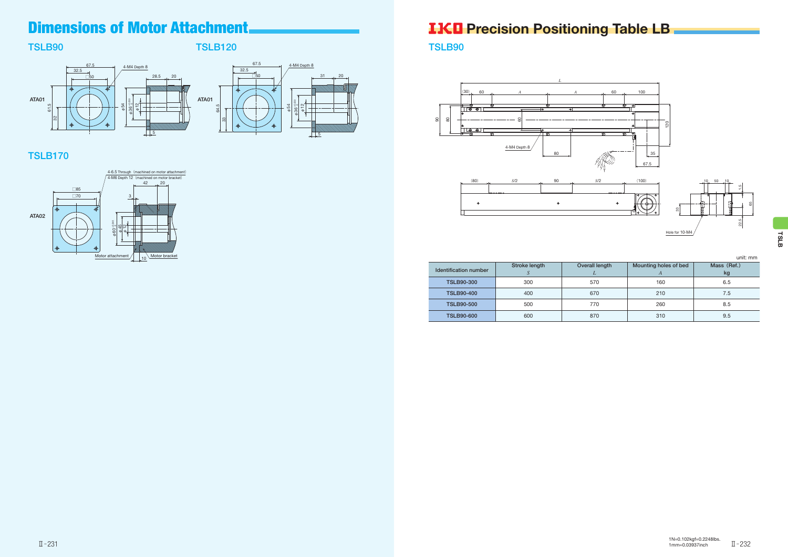## TSLB90

## TSLB120



## TSLB170



TSLB90

|                       |               |                |                            | unit: mm          |
|-----------------------|---------------|----------------|----------------------------|-------------------|
| Identification number | Stroke length | Overall length | Mounting holes of bed<br>A | Mass (Ref.)<br>kg |
| <b>TSLB90-300</b>     | 300           | 570            | 160                        | 6.5               |
| <b>TSLB90-400</b>     | 400           | 670            | 210                        | 7.5               |
| <b>TSLB90-500</b>     | 500           | 770            | 260                        | 8.5               |
| <b>TSLB90-600</b>     | 600           | 870            | 310                        | 9.5               |